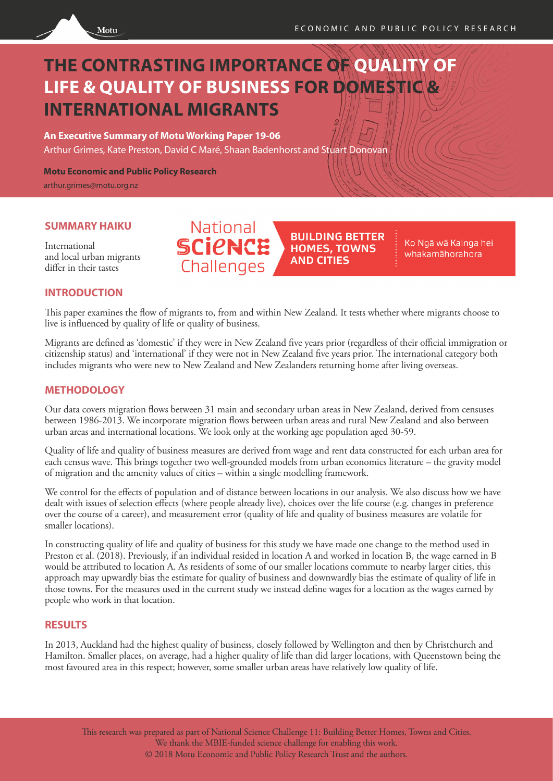

# **THE CONTRASTING IMPORTANCE OF QUALITY OF LIFE & QUALITY OF BUSINESS FOR DOMESTIC & INTERNATIONAL MIGRANTS**

**An Executive Summary of Motu Working Paper 19-06** Arthur Grimes, Kate Preston, David C Maré, Shaan Badenhorst and Stuart Donovan

**Motu Economic and Public Policy Research**

arthur.grimes@motu.org.nz

#### **SUMMARY HAIKU**

International and local urban migrants differ in their tastes

## National **SCIPNCE** Challenges

**BUILDING BETTER HOMES, TOWNS AND CITIES** 

Ko Ngā wā Kainga hei whakamāhorahora

#### **INTRODUCTION**

This paper examines the flow of migrants to, from and within New Zealand. It tests whether where migrants choose to live is influenced by quality of life or quality of business.

Migrants are defined as 'domestic' if they were in New Zealand five years prior (regardless of their official immigration or citizenship status) and 'international' if they were not in New Zealand five years prior. The international category both includes migrants who were new to New Zealand and New Zealanders returning home after living overseas.

#### **METHODOLOGY**

Our data covers migration flows between 31 main and secondary urban areas in New Zealand, derived from censuses between 1986-2013. We incorporate migration flows between urban areas and rural New Zealand and also between urban areas and international locations. We look only at the working age population aged 30-59.

Quality of life and quality of business measures are derived from wage and rent data constructed for each urban area for each census wave. This brings together two well-grounded models from urban economics literature – the gravity model of migration and the amenity values of cities – within a single modelling framework.

We control for the effects of population and of distance between locations in our analysis. We also discuss how we have dealt with issues of selection effects (where people already live), choices over the life course (e.g. changes in preference over the course of a career), and measurement error (quality of life and quality of business measures are volatile for smaller locations).

In constructing quality of life and quality of business for this study we have made one change to the method used in Preston et al. (2018). Previously, if an individual resided in location A and worked in location B, the wage earned in B would be attributed to location A. As residents of some of our smaller locations commute to nearby larger cities, this approach may upwardly bias the estimate for quality of business and downwardly bias the estimate of quality of life in those towns. For the measures used in the current study we instead define wages for a location as the wages earned by people who work in that location.

#### **RESULTS**

In 2013, Auckland had the highest quality of business, closely followed by Wellington and then by Christchurch and Hamilton. Smaller places, on average, had a higher quality of life than did larger locations, with Queenstown being the most favoured area in this respect; however, some smaller urban areas have relatively low quality of life.

This research was prepared as part of National Science Challenge 11: Building Better Homes, Towns and Cities. We thank the MBIE-funded science challenge for enabling this work. © 2018 Motu Economic and Public Policy Research Trust and the authors.